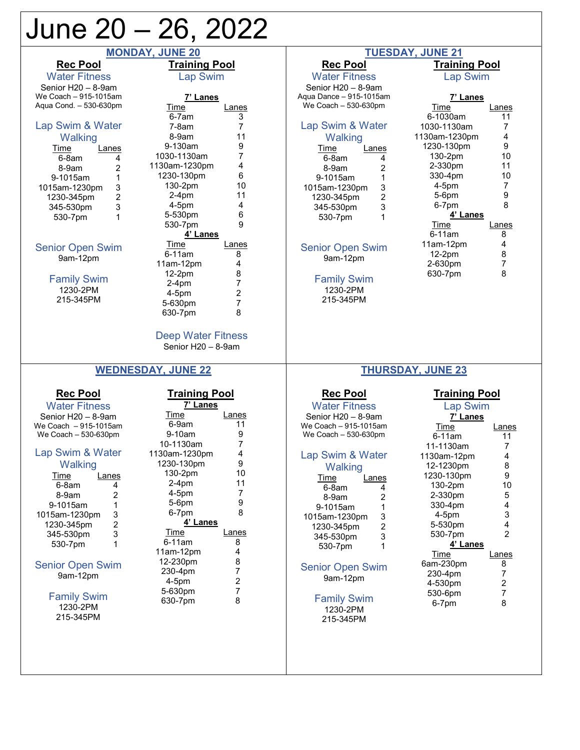## June 20 – 26, 2022

| <b>MONDAY, JUNE 20</b>                  |                                                       | <b>TUESDAY, JUNE 21</b>                 |                                        |
|-----------------------------------------|-------------------------------------------------------|-----------------------------------------|----------------------------------------|
| <b>Rec Pool</b>                         | <b>Training Pool</b>                                  | <b>Rec Pool</b>                         | <b>Training Pool</b>                   |
| <b>Water Fitness</b>                    | Lap Swim                                              | <b>Water Fitness</b>                    | <b>Lap Swim</b>                        |
| Senior H20 - 8-9am                      |                                                       | Senior H20 - 8-9am                      |                                        |
| We Coach - 915-1015am                   | 7' Lanes                                              | Agua Dance - 915-1015am                 | 7' Lanes                               |
| Aqua Cond. - 530-630pm                  | Time<br>Lanes                                         | We Coach - 530-630pm                    | Time<br>Lanes                          |
|                                         | $6-7am$<br>3                                          |                                         | 6-1030am<br>11                         |
| Lap Swim & Water                        | 7<br>$7-8am$                                          | Lap Swim & Water                        | 1030-1130am<br>$\overline{7}$          |
| Walking                                 | 8-9am<br>11<br>9<br>9-130am                           | Walking                                 | 4<br>1130am-1230pm<br>$\boldsymbol{9}$ |
| Lanes<br>Time                           | 7<br>1030-1130am                                      | Lanes<br>Time                           | 1230-130pm<br>10<br>130-2pm            |
| 6-8am<br>4<br>$\overline{c}$<br>8-9am   | 4<br>1130am-1230pm                                    | 6-8am<br>4<br>2<br>8-9am                | 11<br>2-330pm                          |
| 9-1015am<br>1                           | 6<br>1230-130pm                                       | 9-1015am<br>1                           | 10<br>330-4pm                          |
| 3<br>1015am-1230pm                      | 130-2pm<br>10                                         | 3<br>1015am-1230pm                      | 7<br>$4-5$ pm                          |
| $\overline{c}$<br>1230-345pm            | 11<br>$2-4pm$                                         | $\overline{c}$<br>1230-345pm            | 9<br>$5-6$ pm                          |
| 3<br>345-530pm                          | 4<br>$4-5$ pm                                         | 3<br>345-530pm                          | 8<br>6-7pm                             |
| 1<br>530-7pm                            | 6<br>5-530pm<br>9                                     | 1<br>530-7pm                            | 4' Lanes                               |
|                                         | 530-7pm<br>4' Lanes                                   |                                         | Time<br>Lanes<br>6-11am<br>8           |
|                                         | Time<br>Lanes                                         |                                         | 4<br>$11am-12pm$                       |
| <b>Senior Open Swim</b>                 | 6-11am<br>8                                           | <b>Senior Open Swim</b>                 | 8<br>12-2pm                            |
| 9am-12pm                                | 11am-12pm<br>4                                        | 9am-12pm                                | 7<br>2-630pm                           |
| <b>Family Swim</b>                      | 8<br>12-2pm                                           | <b>Family Swim</b>                      | 8<br>630-7pm                           |
| 1230-2PM                                | $\overline{7}$<br>$2-4pm$                             | 1230-2PM                                |                                        |
| 215-345PM                               | $\overline{\mathbf{c}}$<br>$4-5$ pm<br>$\overline{7}$ | 215-345PM                               |                                        |
|                                         | 5-630pm<br>8<br>630-7pm                               |                                         |                                        |
|                                         | <b>Deep Water Fitness</b>                             |                                         |                                        |
|                                         | Senior H20 - 8-9am                                    |                                         |                                        |
|                                         | <b>WEDNESDAY, JUNE 22</b>                             |                                         | <b>THURSDAY, JUNE 23</b>               |
|                                         |                                                       |                                         |                                        |
| <b>Rec Pool</b><br><b>Water Fitness</b> | <b>Training Pool</b><br>$\overline{7}$ ' Lanes        | <b>Rec Pool</b><br><b>Water Fitness</b> | <b>Training Pool</b>                   |
| Senior H20 - 8-9am                      | Time<br>Lanes                                         | Senior H20 - 8-9am                      | <b>Lap Swim</b><br>7' Lanes            |
| We Coach - 915-1015am                   | 6-9am<br>11                                           | We Coach - 915-1015am                   | Time<br>Lanes                          |
| We Coach - 530-630pm                    | 9-10am<br>9                                           | We Coach - 530-630pm                    | $6-11am$<br>11                         |
|                                         | 10-1130am<br>7                                        |                                         | 7<br>11-1130am                         |
| Lap Swim & Water                        | 4<br>1130am-1230pm<br>9<br>1230-130pm                 | Lap Swim & Water                        | 4<br>1130am-12pm                       |
| Walking                                 | 130-2pm<br>10                                         | Walking                                 | 8<br>12-1230pm<br>1230-130pm<br>9      |
| <b>Time</b><br>Lanes<br>6-8am<br>4      | 11<br>$2-4pm$                                         | <b>Time</b><br>Lanes<br>6-8am<br>4      | 130-2pm<br>10                          |
| 2<br>8-9am                              | 7<br>4-5pm                                            | 2<br>8-9am                              | $\mathbf 5$<br>2-330pm                 |
| 9-1015am<br>1                           | 9<br>5-6pm                                            | 9-1015am<br>1                           | $\overline{\mathbf{4}}$<br>330-4pm     |
| 3<br>1015am-1230pm                      | 8<br>6-7pm                                            | 3<br>1015am-1230pm                      | 3<br>$4-5pm$                           |
| $\overline{c}$<br>1230-345pm            | 4' Lanes<br>Time<br>Lanes                             | $\overline{2}$<br>1230-345pm            | 4<br>5-530pm<br>$\overline{2}$         |
| 3<br>345-530pm<br>530-7pm<br>1          | 6-11am<br>8                                           | 3<br>345-530pm<br>1                     | 530-7pm<br>4' Lanes                    |
|                                         | 11am-12pm<br>4                                        | 530-7pm                                 | <b>Time</b><br>Lanes                   |
| <b>Senior Open Swim</b>                 | 8<br>12-230pm                                         | <b>Senior Open Swim</b>                 | 6am-230pm<br>8                         |
| 9am-12pm                                | $\overline{7}$<br>230-4pm                             | 9am-12pm                                | 7<br>230-4pm                           |
|                                         | $\overline{\mathbf{c}}$<br>$4-5pm$<br>7<br>5-630pm    |                                         | $\overline{c}$<br>4-530pm              |
| <b>Family Swim</b>                      | 8<br>630-7pm                                          | <b>Family Swim</b>                      | 7<br>530-6pm<br>8<br>6-7pm             |
| 1230-2PM                                |                                                       | 1230-2PM                                |                                        |
| 215-345PM                               |                                                       | 215-345PM                               |                                        |
|                                         |                                                       |                                         |                                        |

Lanes